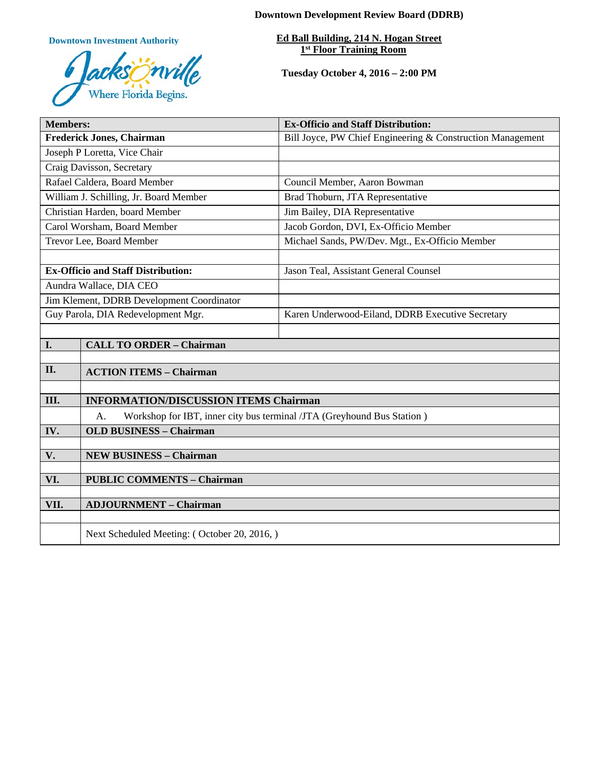**Downtown Investment Authority**



**Downtown Development Review Board (DDRB)**

**Ed Ball Building, 214 N. Hogan Street 1st Floor Training Room** 

**Tuesday October 4, 2016 – 2:00 PM**

| <b>Members:</b>                           |                                                                              | <b>Ex-Officio and Staff Distribution:</b>                  |
|-------------------------------------------|------------------------------------------------------------------------------|------------------------------------------------------------|
| <b>Frederick Jones, Chairman</b>          |                                                                              | Bill Joyce, PW Chief Engineering & Construction Management |
| Joseph P Loretta, Vice Chair              |                                                                              |                                                            |
| Craig Davisson, Secretary                 |                                                                              |                                                            |
| Rafael Caldera, Board Member              |                                                                              | Council Member, Aaron Bowman                               |
| William J. Schilling, Jr. Board Member    |                                                                              | Brad Thoburn, JTA Representative                           |
| Christian Harden, board Member            |                                                                              | Jim Bailey, DIA Representative                             |
| Carol Worsham, Board Member               |                                                                              | Jacob Gordon, DVI, Ex-Officio Member                       |
| Trevor Lee, Board Member                  |                                                                              | Michael Sands, PW/Dev. Mgt., Ex-Officio Member             |
|                                           |                                                                              |                                                            |
| <b>Ex-Officio and Staff Distribution:</b> |                                                                              | Jason Teal, Assistant General Counsel                      |
| Aundra Wallace, DIA CEO                   |                                                                              |                                                            |
| Jim Klement, DDRB Development Coordinator |                                                                              |                                                            |
| Guy Parola, DIA Redevelopment Mgr.        |                                                                              | Karen Underwood-Eiland, DDRB Executive Secretary           |
|                                           |                                                                              |                                                            |
| I.                                        | <b>CALL TO ORDER - Chairman</b>                                              |                                                            |
|                                           |                                                                              |                                                            |
| II.                                       | <b>ACTION ITEMS - Chairman</b>                                               |                                                            |
|                                           |                                                                              |                                                            |
| Ш.                                        | <b>INFORMATION/DISCUSSION ITEMS Chairman</b>                                 |                                                            |
|                                           | Workshop for IBT, inner city bus terminal /JTA (Greyhound Bus Station)<br>A. |                                                            |
| IV.                                       | <b>OLD BUSINESS - Chairman</b>                                               |                                                            |
|                                           | <b>NEW BUSINESS - Chairman</b>                                               |                                                            |
| V.                                        |                                                                              |                                                            |
| VI.                                       | <b>PUBLIC COMMENTS - Chairman</b>                                            |                                                            |
|                                           |                                                                              |                                                            |
| VII.                                      | <b>ADJOURNMENT - Chairman</b>                                                |                                                            |
|                                           |                                                                              |                                                            |
|                                           | Next Scheduled Meeting: (October 20, 2016,)                                  |                                                            |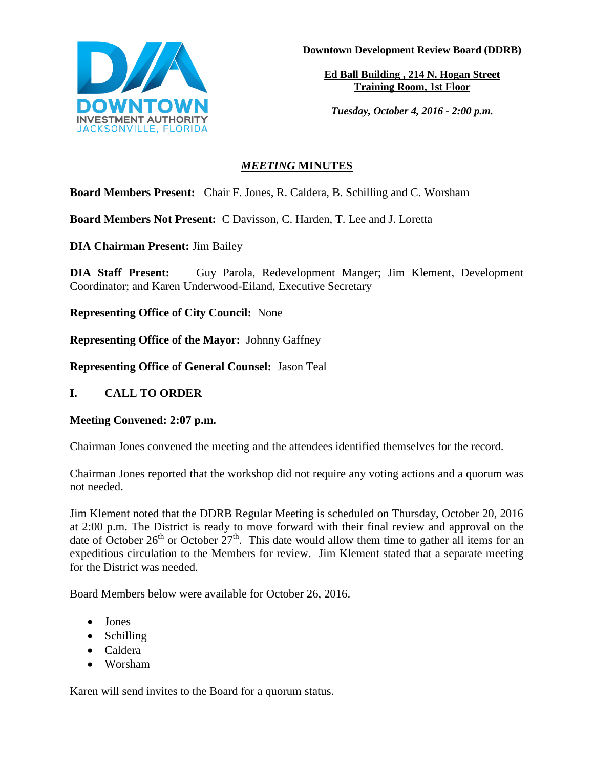

**Downtown Development Review Board (DDRB)**

**Ed Ball Building , 214 N. Hogan Street Training Room, 1st Floor**

*Tuesday, October 4, 2016 - 2:00 p.m.*

# *MEETING* **MINUTES**

**Board Members Present:** Chair F. Jones, R. Caldera, B. Schilling and C. Worsham

**Board Members Not Present:** C Davisson, C. Harden, T. Lee and J. Loretta

**DIA Chairman Present:** Jim Bailey

**DIA Staff Present:** Guy Parola, Redevelopment Manger; Jim Klement, Development Coordinator; and Karen Underwood-Eiland, Executive Secretary

**Representing Office of City Council:** None

**Representing Office of the Mayor:** Johnny Gaffney

**Representing Office of General Counsel:** Jason Teal

# **I. CALL TO ORDER**

## **Meeting Convened: 2:07 p.m.**

Chairman Jones convened the meeting and the attendees identified themselves for the record.

Chairman Jones reported that the workshop did not require any voting actions and a quorum was not needed.

Jim Klement noted that the DDRB Regular Meeting is scheduled on Thursday, October 20, 2016 at 2:00 p.m. The District is ready to move forward with their final review and approval on the date of October 26<sup>th</sup> or October  $27<sup>th</sup>$ . This date would allow them time to gather all items for an expeditious circulation to the Members for review. Jim Klement stated that a separate meeting for the District was needed.

Board Members below were available for October 26, 2016.

- Jones
- Schilling
- Caldera
- Worsham

Karen will send invites to the Board for a quorum status.